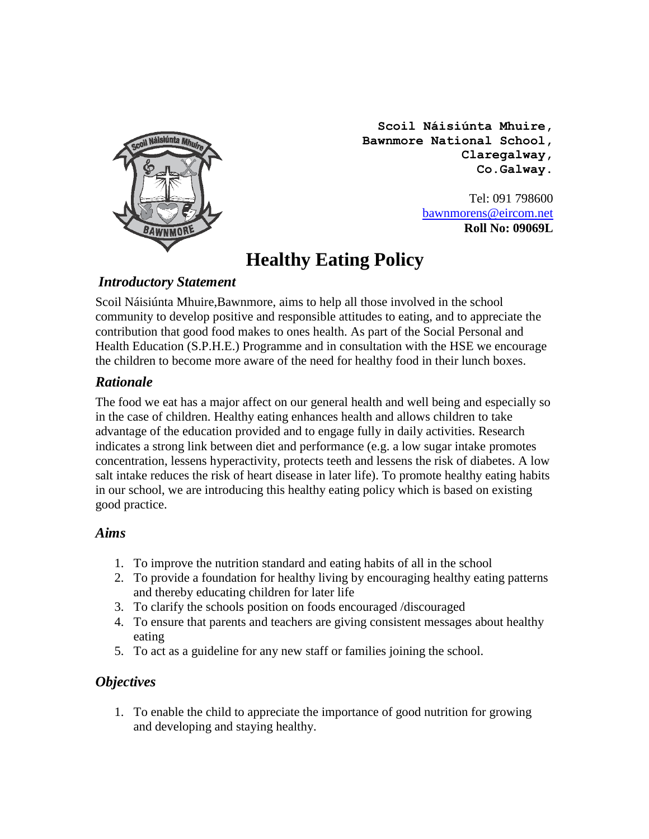

**Scoil Náisiúnta Mhuire, Bawnmore National School, Claregalway, Co.Galway.**

> Tel: 091 798600 [bawnmorens@eircom.net](mailto:bawnmorens@eircom.net) **Roll No: 09069L**

# **Healthy Eating Policy**

## *Introductory Statement*

Scoil Náisiúnta Mhuire,Bawnmore, aims to help all those involved in the school community to develop positive and responsible attitudes to eating, and to appreciate the contribution that good food makes to ones health. As part of the Social Personal and Health Education (S.P.H.E.) Programme and in consultation with the HSE we encourage the children to become more aware of the need for healthy food in their lunch boxes.

## *Rationale*

The food we eat has a major affect on our general health and well being and especially so in the case of children. Healthy eating enhances health and allows children to take advantage of the education provided and to engage fully in daily activities. Research indicates a strong link between diet and performance (e.g. a low sugar intake promotes concentration, lessens hyperactivity, protects teeth and lessens the risk of diabetes. A low salt intake reduces the risk of heart disease in later life). To promote healthy eating habits in our school, we are introducing this healthy eating policy which is based on existing good practice.

## *Aims*

- 1. To improve the nutrition standard and eating habits of all in the school
- 2. To provide a foundation for healthy living by encouraging healthy eating patterns and thereby educating children for later life
- 3. To clarify the schools position on foods encouraged /discouraged
- 4. To ensure that parents and teachers are giving consistent messages about healthy eating
- 5. To act as a guideline for any new staff or families joining the school.

## *Objectives*

1. To enable the child to appreciate the importance of good nutrition for growing and developing and staying healthy.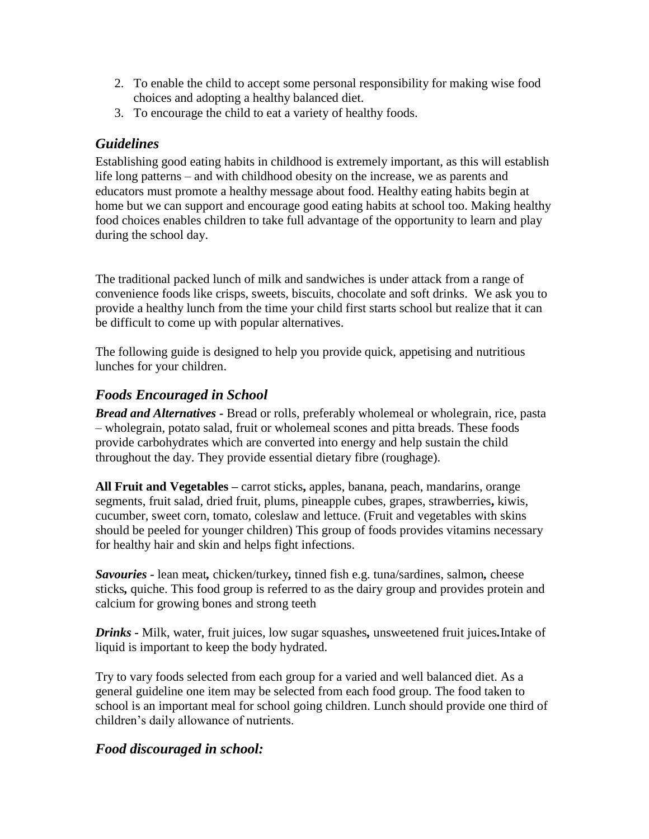- 2. To enable the child to accept some personal responsibility for making wise food choices and adopting a healthy balanced diet.
- 3. To encourage the child to eat a variety of healthy foods.

#### *Guidelines*

Establishing good eating habits in childhood is extremely important, as this will establish life long patterns – and with childhood obesity on the increase, we as parents and educators must promote a healthy message about food. Healthy eating habits begin at home but we can support and encourage good eating habits at school too. Making healthy food choices enables children to take full advantage of the opportunity to learn and play during the school day.

The traditional packed lunch of milk and sandwiches is under attack from a range of convenience foods like crisps, sweets, biscuits, chocolate and soft drinks. We ask you to provide a healthy lunch from the time your child first starts school but realize that it can be difficult to come up with popular alternatives.

The following guide is designed to help you provide quick, appetising and nutritious lunches for your children.

## *Foods Encouraged in School*

*Bread and Alternatives -* Bread or rolls, preferably wholemeal or wholegrain, rice, pasta – wholegrain, potato salad, fruit or wholemeal scones and pitta breads. These foods provide carbohydrates which are converted into energy and help sustain the child throughout the day. They provide essential dietary fibre (roughage).

**All Fruit and Vegetables –** carrot sticks**,** apples, banana, peach, mandarins, orange segments, fruit salad, dried fruit, plums, pineapple cubes, grapes, strawberries**,** kiwis, cucumber, sweet corn, tomato, coleslaw and lettuce. (Fruit and vegetables with skins should be peeled for younger children) This group of foods provides vitamins necessary for healthy hair and skin and helps fight infections.

*Savouries -* lean meat*,* chicken/turkey*,* tinned fish e.g. tuna/sardines, salmon*,* cheese sticks*,* quiche. This food group is referred to as the dairy group and provides protein and calcium for growing bones and strong teeth

*Drinks -* Milk, water, fruit juices, low sugar squashes*,* unsweetened fruit juices*.*Intake of liquid is important to keep the body hydrated.

Try to vary foods selected from each group for a varied and well balanced diet. As a general guideline one item may be selected from each food group. The food taken to school is an important meal for school going children. Lunch should provide one third of children's daily allowance of nutrients.

## *Food discouraged in school:*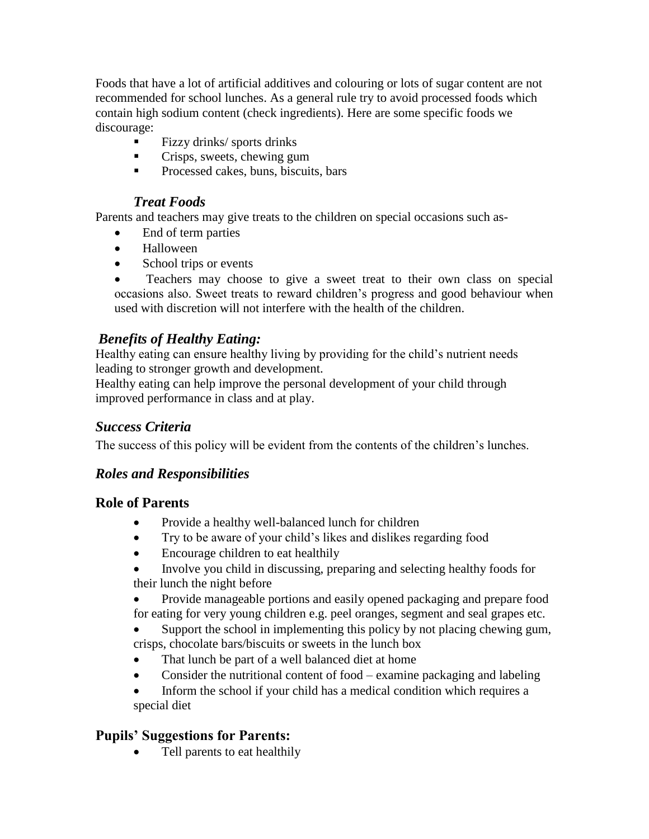Foods that have a lot of artificial additives and colouring or lots of sugar content are not recommended for school lunches. As a general rule try to avoid processed foods which contain high sodium content (check ingredients). Here are some specific foods we discourage:

- $\blacksquare$  Fizzy drinks/ sports drinks
- **Crisps, sweets, chewing gum**
- **Processed cakes, buns, biscuits, bars**

#### *Treat Foods*

Parents and teachers may give treats to the children on special occasions such as-

- End of term parties
- Halloween
- School trips or events

 Teachers may choose to give a sweet treat to their own class on special occasions also. Sweet treats to reward children's progress and good behaviour when used with discretion will not interfere with the health of the children.

## *Benefits of Healthy Eating:*

Healthy eating can ensure healthy living by providing for the child's nutrient needs leading to stronger growth and development.

Healthy eating can help improve the personal development of your child through improved performance in class and at play.

#### *Success Criteria*

The success of this policy will be evident from the contents of the children's lunches.

## *Roles and Responsibilities*

#### **Role of Parents**

- Provide a healthy well-balanced lunch for children
- Try to be aware of your child's likes and dislikes regarding food
- Encourage children to eat healthily
- Involve you child in discussing, preparing and selecting healthy foods for their lunch the night before
- Provide manageable portions and easily opened packaging and prepare food for eating for very young children e.g. peel oranges, segment and seal grapes etc.

 Support the school in implementing this policy by not placing chewing gum, crisps, chocolate bars/biscuits or sweets in the lunch box

- That lunch be part of a well balanced diet at home
- Consider the nutritional content of food examine packaging and labeling
- Inform the school if your child has a medical condition which requires a special diet

## **Pupils' Suggestions for Parents:**

Tell parents to eat healthily